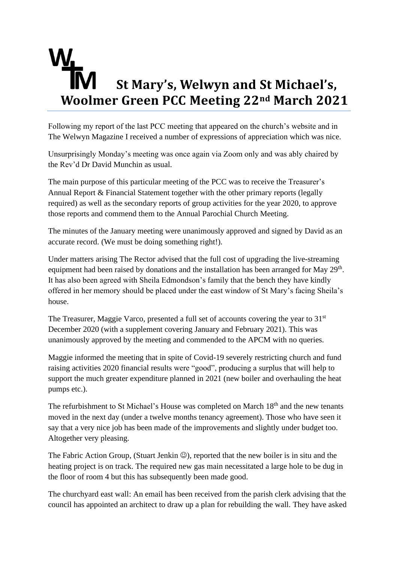## **St Mary's, Welwyn and St Michael's, Woolmer Green PCC Meeting 22nd March 2021**

Following my report of the last PCC meeting that appeared on the church's website and in The Welwyn Magazine I received a number of expressions of appreciation which was nice.

Unsurprisingly Monday's meeting was once again via Zoom only and was ably chaired by the Rev'd Dr David Munchin as usual.

The main purpose of this particular meeting of the PCC was to receive the Treasurer's Annual Report & Financial Statement together with the other primary reports (legally required) as well as the secondary reports of group activities for the year 2020, to approve those reports and commend them to the Annual Parochial Church Meeting.

The minutes of the January meeting were unanimously approved and signed by David as an accurate record. (We must be doing something right!).

Under matters arising The Rector advised that the full cost of upgrading the live-streaming equipment had been raised by donations and the installation has been arranged for May 29<sup>th</sup>. It has also been agreed with Sheila Edmondson's family that the bench they have kindly offered in her memory should be placed under the east window of St Mary's facing Sheila's house.

The Treasurer, Maggie Varco, presented a full set of accounts covering the year to 31<sup>st</sup> December 2020 (with a supplement covering January and February 2021). This was unanimously approved by the meeting and commended to the APCM with no queries.

Maggie informed the meeting that in spite of Covid-19 severely restricting church and fund raising activities 2020 financial results were "good", producing a surplus that will help to support the much greater expenditure planned in 2021 (new boiler and overhauling the heat pumps etc.).

The refurbishment to St Michael's House was completed on March 18<sup>th</sup> and the new tenants moved in the next day (under a twelve months tenancy agreement). Those who have seen it say that a very nice job has been made of the improvements and slightly under budget too. Altogether very pleasing.

The Fabric Action Group, (Stuart Jenkin  $\mathcal{O}$ ), reported that the new boiler is in situ and the heating project is on track. The required new gas main necessitated a large hole to be dug in the floor of room 4 but this has subsequently been made good.

The churchyard east wall: An email has been received from the parish clerk advising that the council has appointed an architect to draw up a plan for rebuilding the wall. They have asked